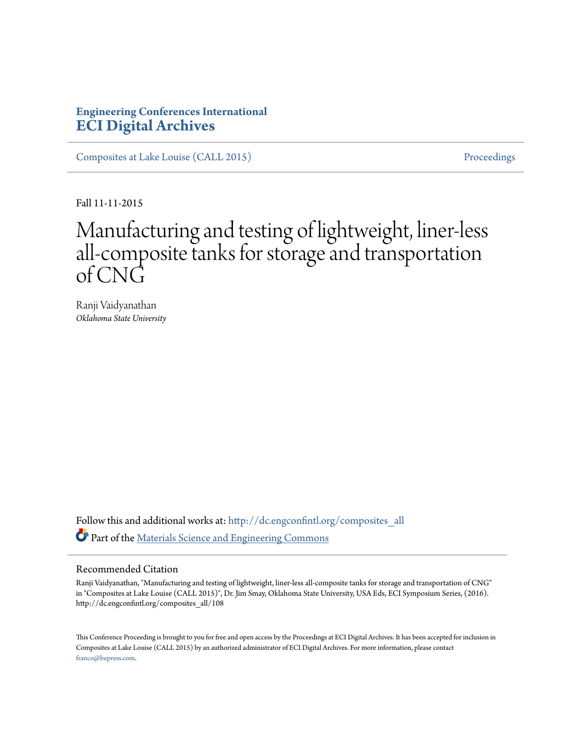# **Engineering Conferences International [ECI Digital Archives](http://dc.engconfintl.org?utm_source=dc.engconfintl.org%2Fcomposites_all%2F108&utm_medium=PDF&utm_campaign=PDFCoverPages)**

[Composites at Lake Louise \(CALL 2015\)](http://dc.engconfintl.org/composites_all?utm_source=dc.engconfintl.org%2Fcomposites_all%2F108&utm_medium=PDF&utm_campaign=PDFCoverPages) [Proceedings](http://dc.engconfintl.org/proceedings?utm_source=dc.engconfintl.org%2Fcomposites_all%2F108&utm_medium=PDF&utm_campaign=PDFCoverPages)

Fall 11-11-2015

# Manufacturing and testing of lightweight, liner-less all-composite tanks for storage and transportation of CNG

Ranji Vaidyanathan *Oklahoma State University*

Follow this and additional works at: [http://dc.engconfintl.org/composites\\_all](http://dc.engconfintl.org/composites_all?utm_source=dc.engconfintl.org%2Fcomposites_all%2F108&utm_medium=PDF&utm_campaign=PDFCoverPages) Part of the [Materials Science and Engineering Commons](http://network.bepress.com/hgg/discipline/285?utm_source=dc.engconfintl.org%2Fcomposites_all%2F108&utm_medium=PDF&utm_campaign=PDFCoverPages)

## Recommended Citation

Ranji Vaidyanathan, "Manufacturing and testing of lightweight, liner-less all-composite tanks for storage and transportation of CNG" in "Composites at Lake Louise (CALL 2015)", Dr. Jim Smay, Oklahoma State University, USA Eds, ECI Symposium Series, (2016). http://dc.engconfintl.org/composites\_all/108

This Conference Proceeding is brought to you for free and open access by the Proceedings at ECI Digital Archives. It has been accepted for inclusion in Composites at Lake Louise (CALL 2015) by an authorized administrator of ECI Digital Archives. For more information, please contact [franco@bepress.com.](mailto:franco@bepress.com)